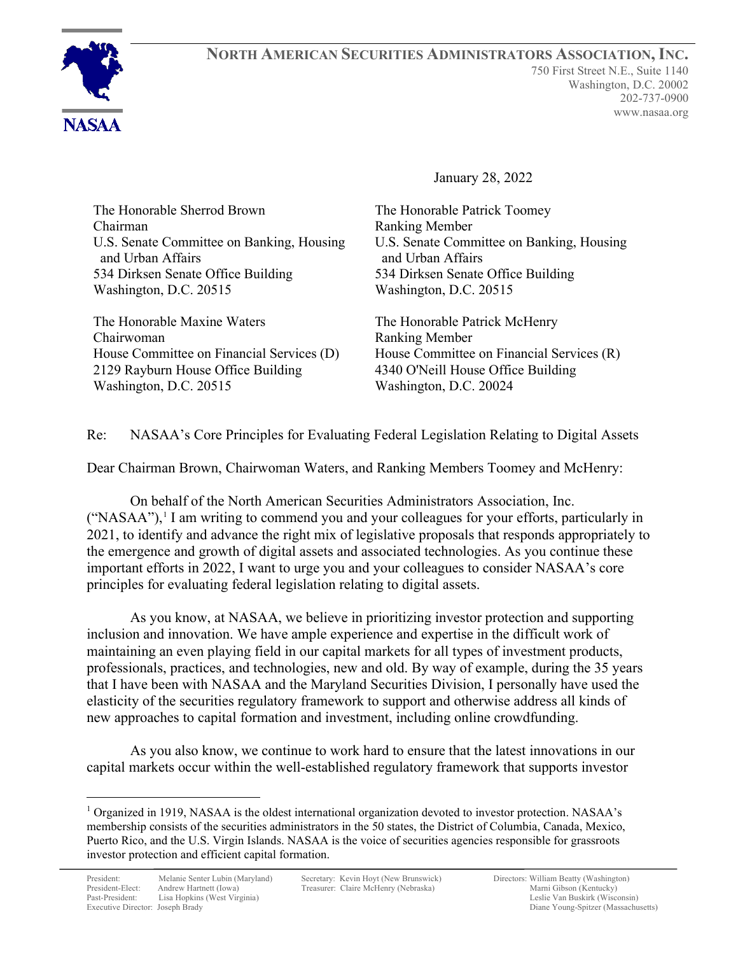

January 28, 2022

The Honorable Sherrod Brown Chairman U.S. Senate Committee on Banking, Housing and Urban Affairs 534 Dirksen Senate Office Building Washington, D.C. 20515

The Honorable Maxine Waters Chairwoman House Committee on Financial Services (D) 2129 Rayburn House Office Building Washington, D.C. 20515

The Honorable Patrick Toomey Ranking Member U.S. Senate Committee on Banking, Housing and Urban Affairs 534 Dirksen Senate Office Building Washington, D.C. 20515

The Honorable Patrick McHenry Ranking Member House Committee on Financial Services (R) 4340 O'Neill House Office Building Washington, D.C. 20024

Re: NASAA's Core Principles for Evaluating Federal Legislation Relating to Digital Assets

Dear Chairman Brown, Chairwoman Waters, and Ranking Members Toomey and McHenry:

On behalf of the North American Securities Administrators Association, Inc.  $("NASAA")$ <sup>[1](#page-0-0)</sup>, I am writing to commend you and your colleagues for your efforts, particularly in 2021, to identify and advance the right mix of legislative proposals that responds appropriately to the emergence and growth of digital assets and associated technologies. As you continue these important efforts in 2022, I want to urge you and your colleagues to consider NASAA's core principles for evaluating federal legislation relating to digital assets.

As you know, at NASAA, we believe in prioritizing investor protection and supporting inclusion and innovation. We have ample experience and expertise in the difficult work of maintaining an even playing field in our capital markets for all types of investment products, professionals, practices, and technologies, new and old. By way of example, during the 35 years that I have been with NASAA and the Maryland Securities Division, I personally have used the elasticity of the securities regulatory framework to support and otherwise address all kinds of new approaches to capital formation and investment, including online crowdfunding.

As you also know, we continue to work hard to ensure that the latest innovations in our capital markets occur within the well-established regulatory framework that supports investor

<span id="page-0-0"></span><sup>&</sup>lt;sup>1</sup> Organized in 1919, NASAA is the oldest international organization devoted to investor protection. NASAA's membership consists of the securities administrators in the 50 states, the District of Columbia, Canada, Mexico, Puerto Rico, and the U.S. Virgin Islands. NASAA is the voice of securities agencies responsible for grassroots investor protection and efficient capital formation.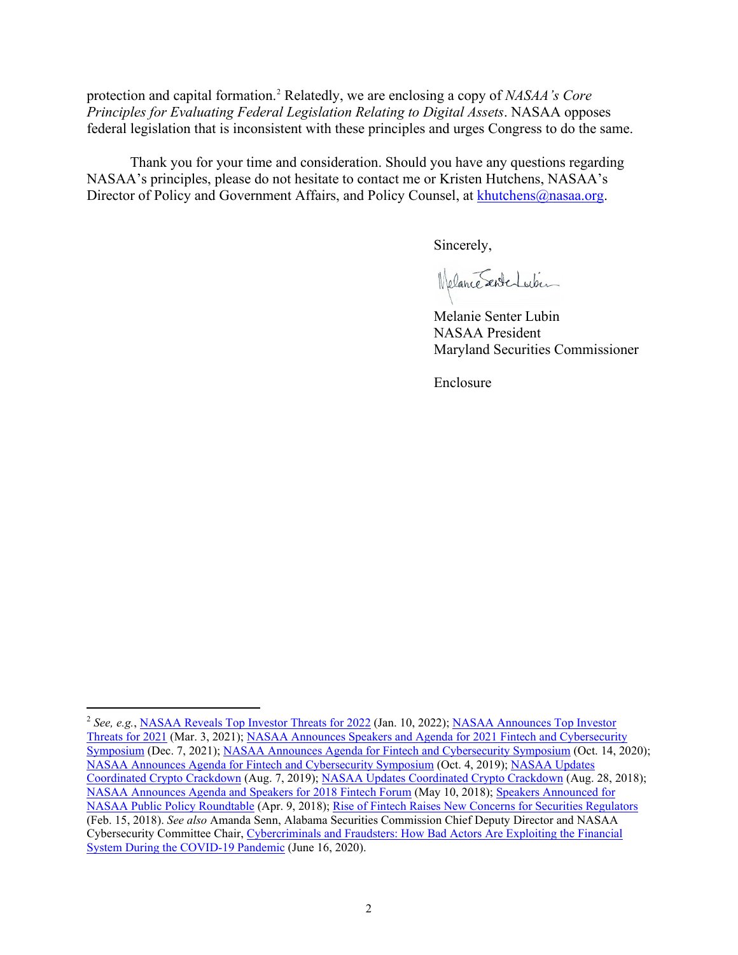protection and capital formation.[2](#page-1-0) Relatedly, we are enclosing a copy of *NASAA's Core Principles for Evaluating Federal Legislation Relating to Digital Assets*. NASAA opposes federal legislation that is inconsistent with these principles and urges Congress to do the same.

Thank you for your time and consideration. Should you have any questions regarding NASAA's principles, please do not hesitate to contact me or Kristen Hutchens, NASAA's Director of Policy and Government Affairs, and Policy Counsel, at [khutchens@nasaa.org.](mailto:khutchens@nasaa.org)

Sincerely,

Welance Sente Lubin

Melanie Senter Lubin NASAA President Maryland Securities Commissioner

Enclosure

<span id="page-1-0"></span><sup>&</sup>lt;sup>2</sup> See, e.g., [NASAA Reveals Top Investor Threats for 2022](https://www.nasaa.org/61477/nasaa-reveals-top-investor-threats-for-2022/?qoid=current-headlines) (Jan. 10, 2022); NASAA Announces Top Investor [Threats for 2021](https://www.nasaa.org/57021/nasaa-announces-top-investor-threats-for-2021/?qoid=newsroom) (Mar. 3, 2021)[; NASAA Announces Speakers and Agenda for 2021 Fintech and Cybersecurity](https://www.nasaa.org/61163/nasaa-announces-speakers-and-agenda-for-2021-fintech-and-cybersecurity-symposium/?qoid=newsroom)  [Symposium](https://www.nasaa.org/61163/nasaa-announces-speakers-and-agenda-for-2021-fintech-and-cybersecurity-symposium/?qoid=newsroom) (Dec. 7, 2021); [NASAA Announces Agenda for Fintech and Cybersecurity Symposium](https://www.nasaa.org/55915/nasaa-announces-agenda-for-fintech-and-cybersecurity-symposium-2/?qoid=newsroom) (Oct. 14, 2020); [NASAA Announces Agenda for Fintech and Cybersecurity Symposium](https://www.nasaa.org/52878/nasaa-announces-agenda-for-fintech-and-cybersecurity-symposium/?qoid=newsroom) (Oct. 4, 2019); [NASAA Updates](https://www.nasaa.org/52027/nasaa-updates-coordinated-crypto-crackdown-2/?qoid=newsroom)  [Coordinated Crypto Crackdown](https://www.nasaa.org/52027/nasaa-updates-coordinated-crypto-crackdown-2/?qoid=newsroom) (Aug. 7, 2019); [NASAA Updates Coordinated Crypto Crackdown](https://www.nasaa.org/45901/nasaa-updates-coordinated-crypto-crackdown/?qoid=newsroom) (Aug. 28, 2018); [NASAA Announces Agenda and Speakers for 2018 Fintech Forum](https://www.nasaa.org/45057/nasaa-announces-agenda-and-speakers-for-2018-fintech-forum/?qoid=newsroom) (May 10, 2018)[; Speakers Announced for](https://www.nasaa.org/44797/speakers-announced-for-nasaa-public-policy-roundtable/?qoid=newsroom)  [NASAA Public Policy Roundtable](https://www.nasaa.org/44797/speakers-announced-for-nasaa-public-policy-roundtable/?qoid=newsroom) (Apr. 9, 2018); [Rise of Fintech Raises New Concerns for Securities Regulators](https://www.nasaa.org/44336/rise-fintech-raises-new-concerns-securities-regulators/?qoid=newsroom) (Feb. 15, 2018). *See also* Amanda Senn, Alabama Securities Commission Chief Deputy Director and NASAA Cybersecurity Committee Chair[, Cybercriminals and Fraudsters: How Bad Actors Are Exploiting the Financial](https://www.nasaa.org/55135/cybercriminals-and-fraudsters-how-bad-actors-are-exploiting-the-financial-system-during-the-covid-19-pandemic/?qoid=testimony)  [System During the COVID-19 Pandemic](https://www.nasaa.org/55135/cybercriminals-and-fraudsters-how-bad-actors-are-exploiting-the-financial-system-during-the-covid-19-pandemic/?qoid=testimony) (June 16, 2020).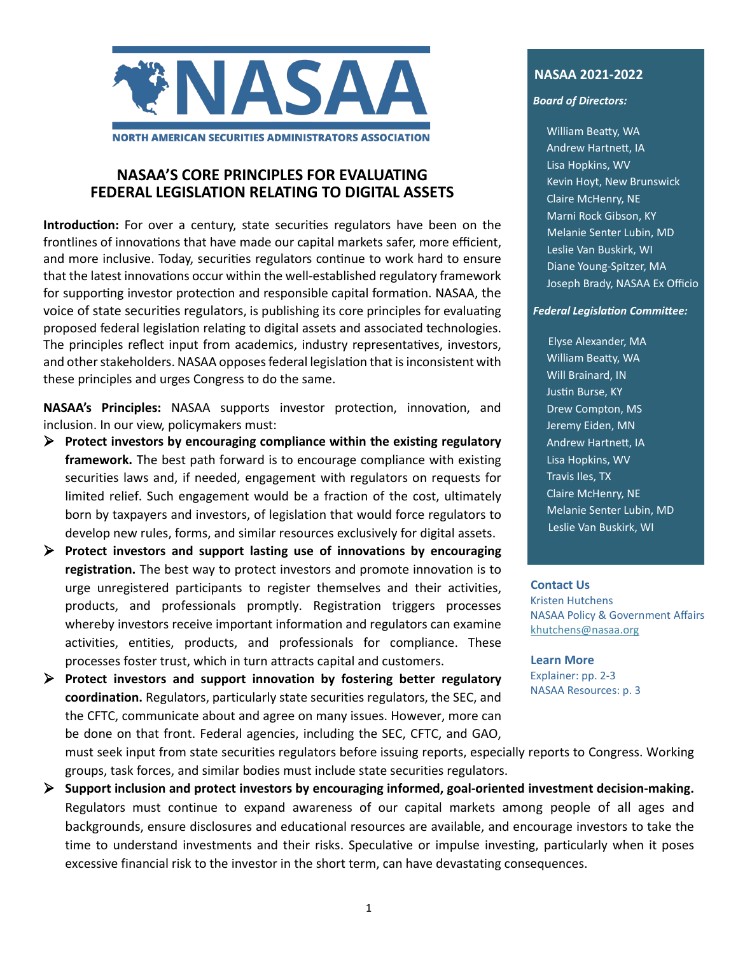

#### **NASAA'S CORE PRINCIPLES FOR EVALUATING FEDERAL LEGISLATION RELATING TO DIGITAL ASSETS**

**Introduction:** For over a century, state securities regulators have been on the frontlines of innovations that have made our capital markets safer, more efficient, and more inclusive. Today, securities regulators continue to work hard to ensure that the latest innovations occur within the well-established regulatory framework for supporting investor protection and responsible capital formation. NASAA, the voice of state securities regulators, is publishing its core principles for evaluating proposed federal legislation relating to digital assets and associated technologies. The principles reflect input from academics, industry representatives, investors, and other stakeholders. NASAA opposes federal legislation that is inconsistent with these principles and urges Congress to do the same.

NASAA's Principles: NASAA supports investor protection, innovation, and inclusion. In our view, policymakers must:

- **Protect investors by encouraging compliance within the existing regulatory framework.** The best path forward is to encourage compliance with existing securities laws and, if needed, engagement with regulators on requests for limited relief. Such engagement would be a fraction of the cost, ultimately born by taxpayers and investors, of legislation that would force regulators to develop new rules, forms, and similar resources exclusively for digital assets.
- **Protect investors and support lasting use of innovations by encouraging registration.** The best way to protect investors and promote innovation is to urge unregistered participants to register themselves and their activities, products, and professionals promptly. Registration triggers processes whereby investors receive important information and regulators can examine activities, entities, products, and professionals for compliance. These processes foster trust, which in turn attracts capital and customers.

 **Protect investors and support innovation by fostering better regulatory coordination.** Regulators, particularly state securities regulators, the SEC, and the CFTC, communicate about and agree on many issues. However, more can be done on that front. Federal agencies, including the SEC, CFTC, and GAO,

#### **NASAA 2021-2022**

#### *Board of Directors:*

William Beatty, WA Andrew Hartnet, IA Lisa Hopkins, WV Kevin Hoyt, New Brunswick Claire McHenry, NE Marni Rock Gibson, KY Melanie Senter Lubin, MD Leslie Van Buskirk, WI Diane Young-Spitzer, MA Joseph Brady, NASAA Ex Officio

#### *Federal Legislation Committee:*

 Elyse Alexander, MA William Beatty, WA Will Brainard, IN Justin Burse, KY Drew Compton, MS Jeremy Eiden, MN Andrew Hartnet, IA Lisa Hopkins, WV Travis Iles, TX Claire McHenry, NE Melanie Senter Lubin, MD Leslie Van Buskirk, WI

#### **Contact Us**

Kristen Hutchens NASAA Policy & Government Affairs [khutchens@nasaa.org](mailto:khutchens@nasaa.org)

**Learn More** Explainer: pp. 2-3

NASAA Resources: p. 3

must seek input from state securities regulators before issuing reports, especially reports to Congress. Working groups, task forces, and similar bodies must include state securities regulators.

 **Support inclusion and protect investors by encouraging informed, goal-oriented investment decision-making.**  Regulators must continue to expand awareness of our capital markets among people of all ages and backgrounds, ensure disclosures and educational resources are available, and encourage investors to take the time to understand investments and their risks. Speculative or impulse investing, particularly when it poses excessive financial risk to the investor in the short term, can have devastating consequences.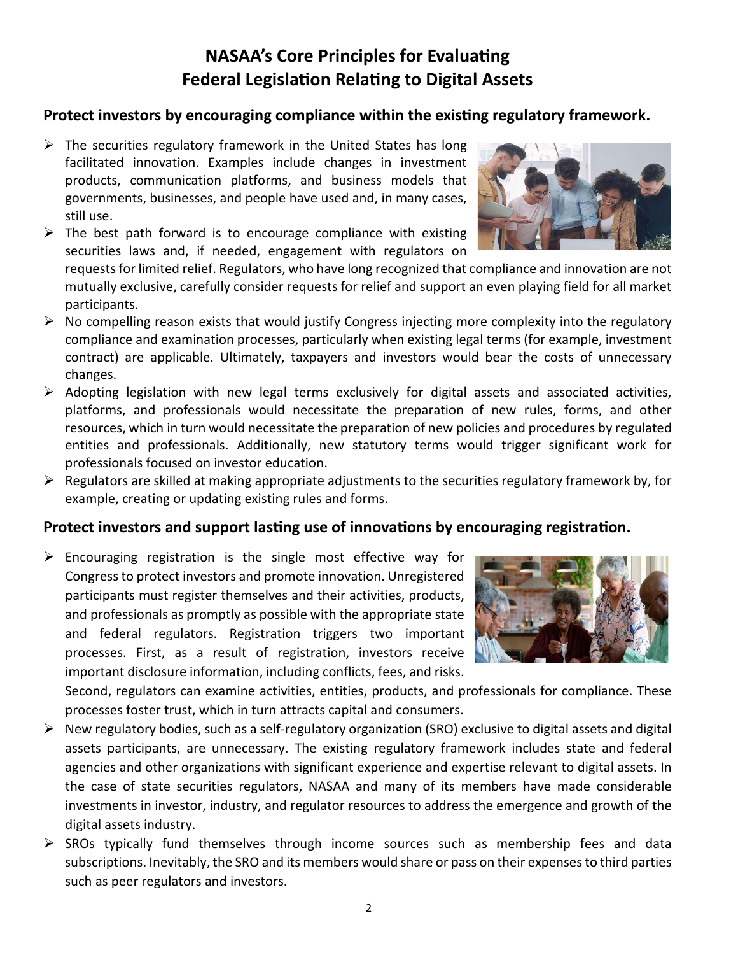# **NASAA's Core Principles for Evaluating Federal Legislation Relating to Digital Assets**

### Protect investors by encouraging compliance within the existing regulatory framework.

- $\triangleright$  The securities regulatory framework in the United States has long facilitated innovation. Examples include changes in investment products, communication platforms, and business models that governments, businesses, and people have used and, in many cases, still use.
- $\triangleright$  The best path forward is to encourage compliance with existing securities laws and, if needed, engagement with regulators on



- $\triangleright$  No compelling reason exists that would justify Congress injecting more complexity into the regulatory compliance and examination processes, particularly when existing legal terms (for example, investment contract) are applicable. Ultimately, taxpayers and investors would bear the costs of unnecessary changes.
- $\triangleright$  Adopting legislation with new legal terms exclusively for digital assets and associated activities, platforms, and professionals would necessitate the preparation of new rules, forms, and other resources, which in turn would necessitate the preparation of new policies and procedures by regulated entities and professionals. Additionally, new statutory terms would trigger significant work for professionals focused on investor education.
- $\triangleright$  Regulators are skilled at making appropriate adjustments to the securities regulatory framework by, for example, creating or updating existing rules and forms.

### **Protect investors and support lasting use of innovations by encouraging registration.**

 $\triangleright$  Encouraging registration is the single most effective way for Congress to protect investors and promote innovation. Unregistered participants must register themselves and their activities, products, and professionals as promptly as possible with the appropriate state and federal regulators. Registration triggers two important processes. First, as a result of registration, investors receive important disclosure information, including conflicts, fees, and risks.



Second, regulators can examine activities, entities, products, and professionals for compliance. These processes foster trust, which in turn attracts capital and consumers.

- $\triangleright$  New regulatory bodies, such as a self-regulatory organization (SRO) exclusive to digital assets and digital assets participants, are unnecessary. The existing regulatory framework includes state and federal agencies and other organizations with significant experience and expertise relevant to digital assets. In the case of state securities regulators, NASAA and many of its members have made considerable investments in investor, industry, and regulator resources to address the emergence and growth of the digital assets industry.
- $\triangleright$  SROs typically fund themselves through income sources such as membership fees and data subscriptions. Inevitably, the SRO and its members would share or pass on their expenses to third parties such as peer regulators and investors.